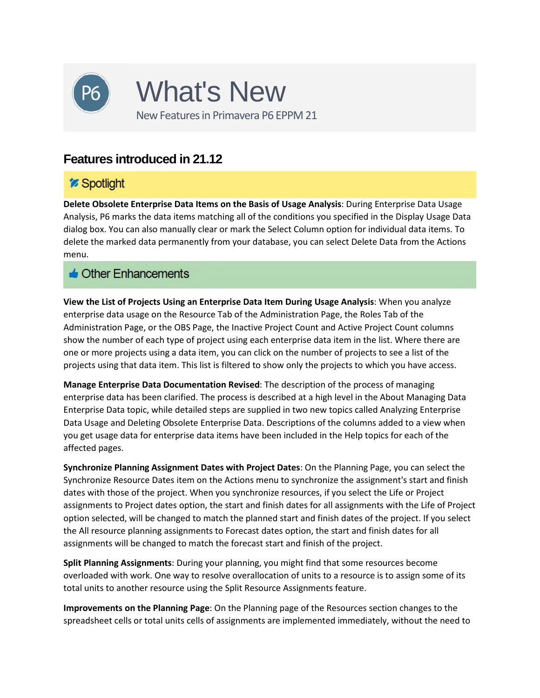

## *i* Spotlight

**Delete Obsolete Enterprise Data Items on the Basis of Usage Analysis**: During Enterprise Data Usage Analysis, P6 marks the data items matching all of the conditions you specified in the Display Usage Data dialog box. You can also manually clear or mark the Select Column option for individual data items. To delete the marked data permanently from your database, you can select Delete Data from the Actions menu.

### $\triangle$  Other Enhancements

**View the List of Projects Using an Enterprise Data Item During Usage Analysis**: When you analyze enterprise data usage on the Resource Tab of the Administration Page, the Roles Tab of the Administration Page, or the OBS Page, the Inactive Project Count and Active Project Count columns show the number of each type of project using each enterprise data item in the list. Where there are one or more projects using a data item, you can click on the number of projects to see a list of the projects using that data item. This list is filtered to show only the projects to which you have access.

**Manage Enterprise Data Documentation Revised**: The description of the process of managing enterprise data has been clarified. The process is described at a high level in the About Managing Data Enterprise Data topic, while detailed steps are supplied in two new topics called Analyzing Enterprise Data Usage and Deleting Obsolete Enterprise Data. Descriptions of the columns added to a view when you get usage data for enterprise data items have been included in the Help topics for each of the affected pages.

**Synchronize Planning Assignment Dates with Project Dates**: On the Planning Page, you can select the Synchronize Resource Dates item on the Actions menu to synchronize the assignment's start and finish dates with those of the project. When you synchronize resources, if you select the Life or Project assignments to Project dates option, the start and finish dates for all assignments with the Life of Project option selected, will be changed to match the planned start and finish dates of the project. If you select the All resource planning assignments to Forecast dates option, the start and finish dates for all assignments will be changed to match the forecast start and finish of the project.

**Split Planning Assignments**: During your planning, you might find that some resources become overloaded with work. One way to resolve overallocation of units to a resource is to assign some of its total units to another resource using the Split Resource Assignments feature.

**Improvements on the Planning Page**: On the Planning page of the Resources section changes to the spreadsheet cells or total units cells of assignments are implemented immediately, without the need to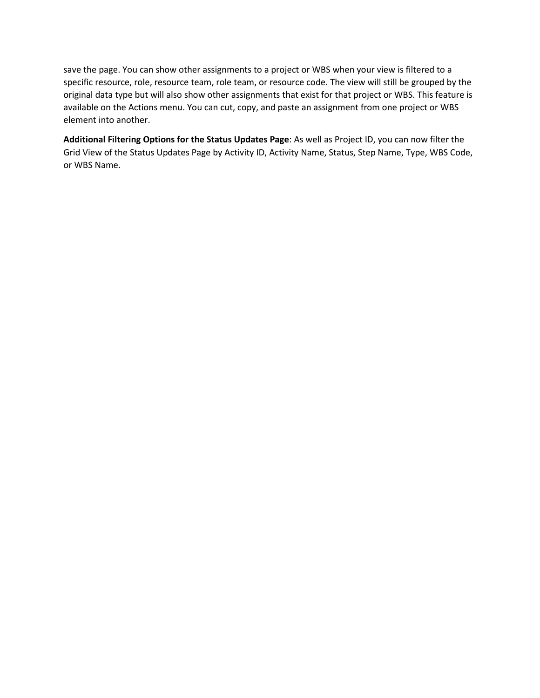save the page. You can show other assignments to a project or WBS when your view is filtered to a specific resource, role, resource team, role team, or resource code. The view will still be grouped by the original data type but will also show other assignments that exist for that project or WBS. This feature is available on the Actions menu. You can cut, copy, and paste an assignment from one project or WBS element into another.

**Additional Filtering Options for the Status Updates Page**: As well as Project ID, you can now filter the Grid View of the Status Updates Page by Activity ID, Activity Name, Status, Step Name, Type, WBS Code, or WBS Name.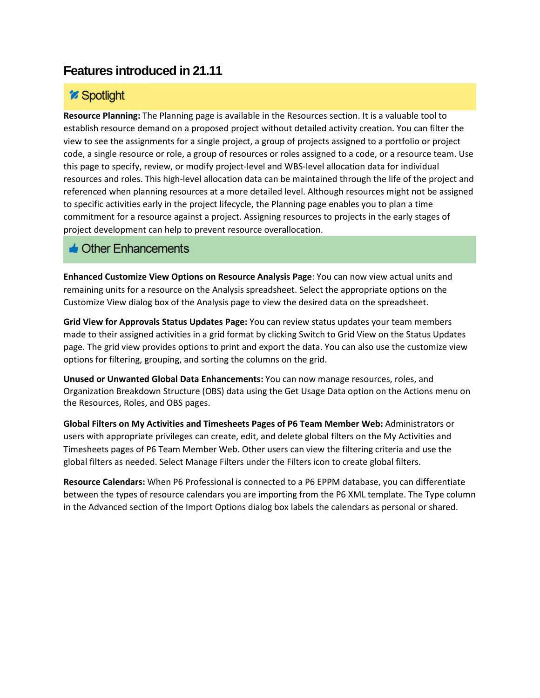# *i* Spotlight

**Resource Planning:** The Planning page is available in the Resources section. It is a valuable tool to establish resource demand on a proposed project without detailed activity creation. You can filter the view to see the assignments for a single project, a group of projects assigned to a portfolio or project code, a single resource or role, a group of resources or roles assigned to a code, or a resource team. Use this page to specify, review, or modify project-level and WBS-level allocation data for individual resources and roles. This high-level allocation data can be maintained through the life of the project and referenced when planning resources at a more detailed level. Although resources might not be assigned to specific activities early in the project lifecycle, the Planning page enables you to plan a time commitment for a resource against a project. Assigning resources to projects in the early stages of project development can help to prevent resource overallocation.

#### $\triangle$  Other Enhancements

**Enhanced Customize View Options on Resource Analysis Page**: You can now view actual units and remaining units for a resource on the Analysis spreadsheet. Select the appropriate options on the Customize View dialog box of the Analysis page to view the desired data on the spreadsheet.

**Grid View for Approvals Status Updates Page:** You can review status updates your team members made to their assigned activities in a grid format by clicking Switch to Grid View on the Status Updates page. The grid view provides options to print and export the data. You can also use the customize view options for filtering, grouping, and sorting the columns on the grid.

**Unused or Unwanted Global Data Enhancements:** You can now manage resources, roles, and Organization Breakdown Structure (OBS) data using the Get Usage Data option on the Actions menu on the Resources, Roles, and OBS pages.

**Global Filters on My Activities and Timesheets Pages of P6 Team Member Web:** Administrators or users with appropriate privileges can create, edit, and delete global filters on the My Activities and Timesheets pages of P6 Team Member Web. Other users can view the filtering criteria and use the global filters as needed. Select Manage Filters under the Filters icon to create global filters.

**Resource Calendars:** When P6 Professional is connected to a P6 EPPM database, you can differentiate between the types of resource calendars you are importing from the P6 XML template. The Type column in the Advanced section of the Import Options dialog box labels the calendars as personal or shared.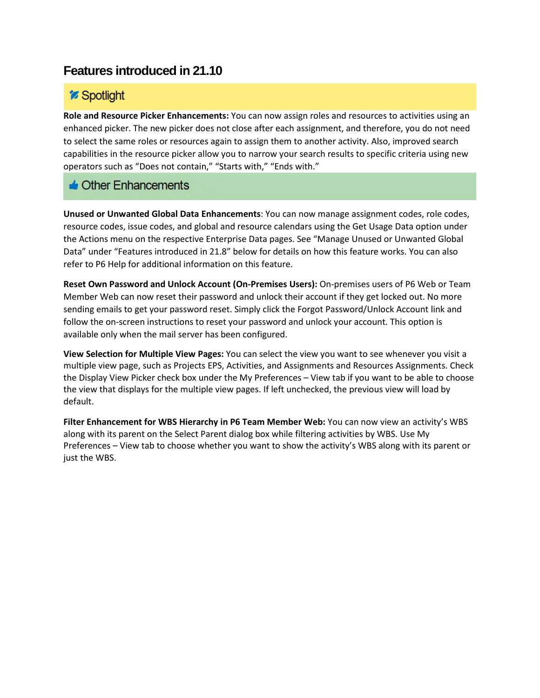## *i* Spotlight

**Role and Resource Picker Enhancements:** You can now assign roles and resources to activities using an enhanced picker. The new picker does not close after each assignment, and therefore, you do not need to select the same roles or resources again to assign them to another activity. Also, improved search capabilities in the resource picker allow you to narrow your search results to specific criteria using new operators such as "Does not contain," "Starts with," "Ends with."

### $\triangle$  Other Enhancements

**Unused or Unwanted Global Data Enhancements**: You can now manage assignment codes, role codes, resource codes, issue codes, and global and resource calendars using the Get Usage Data option under the Actions menu on the respective Enterprise Data pages. See "Manage Unused or Unwanted Global Data" under "Features introduced in 21.8" below for details on how this feature works. You can also refer to P6 Help for additional information on this feature.

**Reset Own Password and Unlock Account (On-Premises Users):** On-premises users of P6 Web or Team Member Web can now reset their password and unlock their account if they get locked out. No more sending emails to get your password reset. Simply click the Forgot Password/Unlock Account link and follow the on-screen instructions to reset your password and unlock your account. This option is available only when the mail server has been configured.

**View Selection for Multiple View Pages:** You can select the view you want to see whenever you visit a multiple view page, such as Projects EPS, Activities, and Assignments and Resources Assignments. Check the Display View Picker check box under the My Preferences – View tab if you want to be able to choose the view that displays for the multiple view pages. If left unchecked, the previous view will load by default.

**Filter Enhancement for WBS Hierarchy in P6 Team Member Web:** You can now view an activity's WBS along with its parent on the Select Parent dialog box while filtering activities by WBS. Use My Preferences – View tab to choose whether you want to show the activity's WBS along with its parent or just the WBS.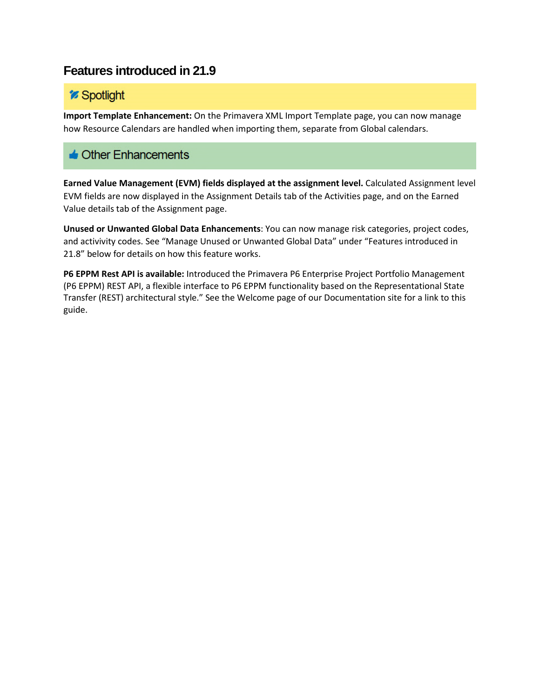## *i* Spotlight

**Import Template Enhancement:** On the Primavera XML Import Template page, you can now manage how Resource Calendars are handled when importing them, separate from Global calendars.

### $\triangle$  Other Enhancements

**Earned Value Management (EVM) fields displayed at the assignment level.** Calculated Assignment level EVM fields are now displayed in the Assignment Details tab of the Activities page, and on the Earned Value details tab of the Assignment page.

**Unused or Unwanted Global Data Enhancements**: You can now manage risk categories, project codes, and activivity codes. See "Manage Unused or Unwanted Global Data" under "Features introduced in 21.8" below for details on how this feature works.

**P6 EPPM Rest API is available:** Introduced the Primavera P6 Enterprise Project Portfolio Management (P6 EPPM) REST API, a flexible interface to P6 EPPM functionality based on the Representational State Transfer (REST) architectural style." See the Welcome page of our Documentation site for a link to this guide.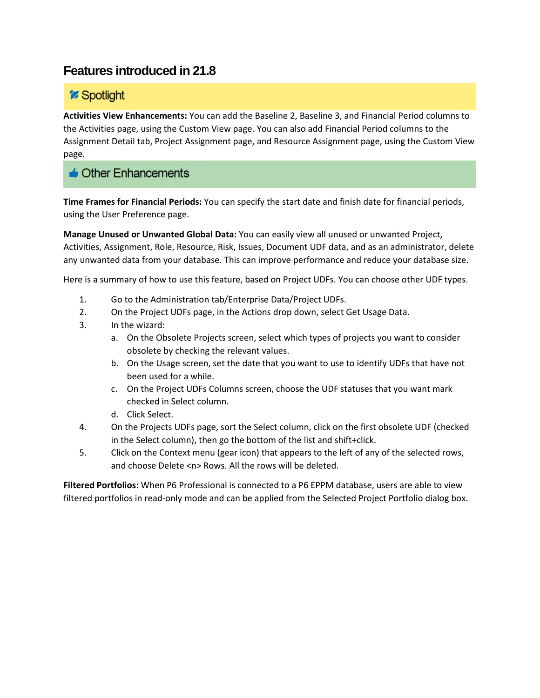# *Spotlight*

**Activities View Enhancements:** You can add the Baseline 2, Baseline 3, and Financial Period columns to the Activities page, using the Custom View page. You can also add Financial Period columns to the Assignment Detail tab, Project Assignment page, and Resource Assignment page, using the Custom View page.

### $\triangle$  Other Enhancements

**Time Frames for Financial Periods:** You can specify the start date and finish date for financial periods, using the User Preference page.

**Manage Unused or Unwanted Global Data:** You can easily view all unused or unwanted Project, Activities, Assignment, Role, Resource, Risk, Issues, Document UDF data, and as an administrator, delete any unwanted data from your database. This can improve performance and reduce your database size.

Here is a summary of how to use this feature, based on Project UDFs. You can choose other UDF types.

- 1. Go to the Administration tab/Enterprise Data/Project UDFs.
- 2. On the Project UDFs page, in the Actions drop down, select Get Usage Data.
- 3. In the wizard:
	- a. On the Obsolete Projects screen, select which types of projects you want to consider obsolete by checking the relevant values.
	- b. On the Usage screen, set the date that you want to use to identify UDFs that have not been used for a while.
	- c. On the Project UDFs Columns screen, choose the UDF statuses that you want mark checked in Select column.
	- d. Click Select.
- 4. On the Projects UDFs page, sort the Select column, click on the first obsolete UDF (checked in the Select column), then go the bottom of the list and shift+click.
- 5. Click on the Context menu (gear icon) that appears to the left of any of the selected rows, and choose Delete <n> Rows. All the rows will be deleted.

**Filtered Portfolios:** When P6 Professional is connected to a P6 EPPM database, users are able to view filtered portfolios in read-only mode and can be applied from the Selected Project Portfolio dialog box.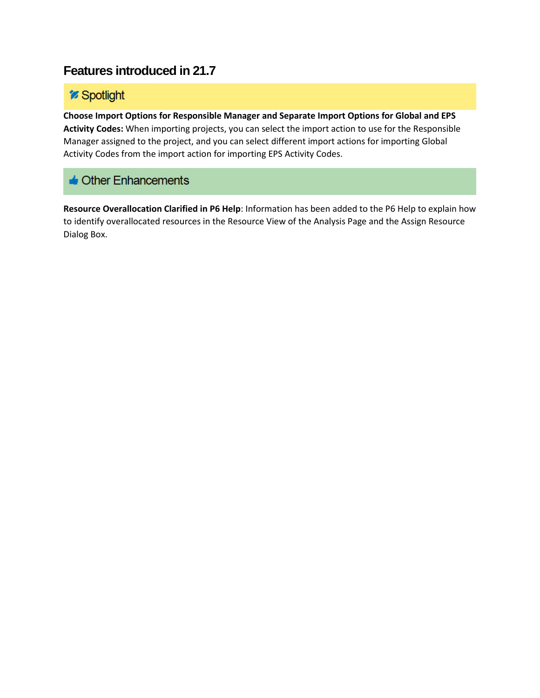## *'s* Spotlight

**Choose Import Options for Responsible Manager and Separate Import Options for Global and EPS Activity Codes:** When importing projects, you can select the import action to use for the Responsible Manager assigned to the project, and you can select different import actions for importing Global Activity Codes from the import action for importing EPS Activity Codes.

## $\triangle$  Other Enhancements

**Resource Overallocation Clarified in P6 Help**: Information has been added to the P6 Help to explain how to identify overallocated resources in the Resource View of the Analysis Page and the Assign Resource Dialog Box.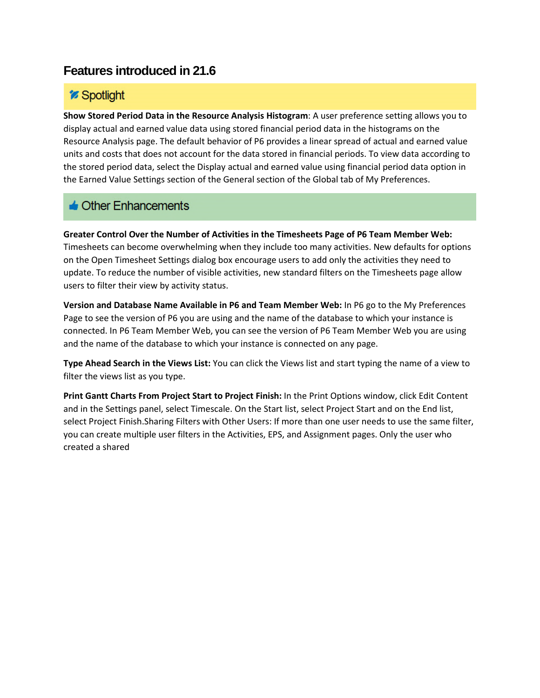## *Spotlight*

**Show Stored Period Data in the Resource Analysis Histogram**: A user preference setting allows you to display actual and earned value data using stored financial period data in the histograms on the Resource Analysis page. The default behavior of P6 provides a linear spread of actual and earned value units and costs that does not account for the data stored in financial periods. To view data according to the stored period data, select the Display actual and earned value using financial period data option in the Earned Value Settings section of the General section of the Global tab of My Preferences.

### $\triangle$  Other Enhancements

**Greater Control Over the Number of Activities in the Timesheets Page of P6 Team Member Web:** Timesheets can become overwhelming when they include too many activities. New defaults for options on the Open Timesheet Settings dialog box encourage users to add only the activities they need to update. To reduce the number of visible activities, new standard filters on the Timesheets page allow users to filter their view by activity status.

**Version and Database Name Available in P6 and Team Member Web:** In P6 go to the My Preferences Page to see the version of P6 you are using and the name of the database to which your instance is connected. In P6 Team Member Web, you can see the version of P6 Team Member Web you are using and the name of the database to which your instance is connected on any page.

**Type Ahead Search in the Views List:** You can click the Views list and start typing the name of a view to filter the views list as you type.

**Print Gantt Charts From Project Start to Project Finish:** In the Print Options window, click Edit Content and in the Settings panel, select Timescale. On the Start list, select Project Start and on the End list, select Project Finish.Sharing Filters with Other Users: If more than one user needs to use the same filter, you can create multiple user filters in the Activities, EPS, and Assignment pages. Only the user who created a shared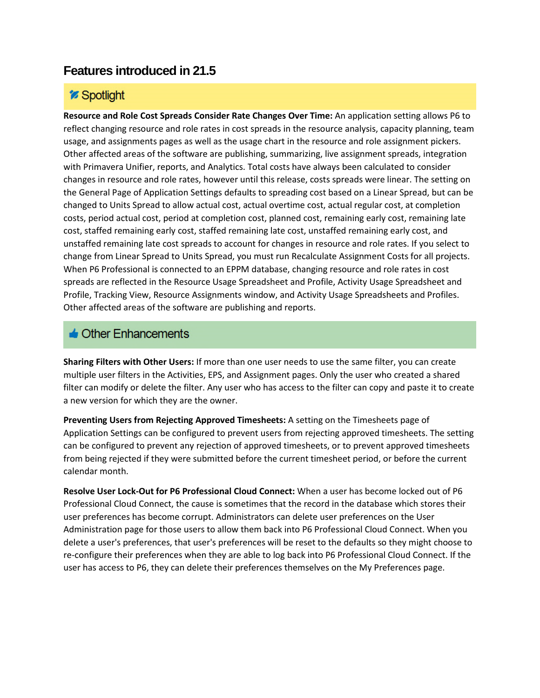### *Spotlight*

**Resource and Role Cost Spreads Consider Rate Changes Over Time:** An application setting allows P6 to reflect changing resource and role rates in cost spreads in the resource analysis, capacity planning, team usage, and assignments pages as well as the usage chart in the resource and role assignment pickers. Other affected areas of the software are publishing, summarizing, live assignment spreads, integration with Primavera Unifier, reports, and Analytics. Total costs have always been calculated to consider changes in resource and role rates, however until this release, costs spreads were linear. The setting on the General Page of Application Settings defaults to spreading cost based on a Linear Spread, but can be changed to Units Spread to allow actual cost, actual overtime cost, actual regular cost, at completion costs, period actual cost, period at completion cost, planned cost, remaining early cost, remaining late cost, staffed remaining early cost, staffed remaining late cost, unstaffed remaining early cost, and unstaffed remaining late cost spreads to account for changes in resource and role rates. If you select to change from Linear Spread to Units Spread, you must run Recalculate Assignment Costs for all projects. When P6 Professional is connected to an EPPM database, changing resource and role rates in cost spreads are reflected in the Resource Usage Spreadsheet and Profile, Activity Usage Spreadsheet and Profile, Tracking View, Resource Assignments window, and Activity Usage Spreadsheets and Profiles. Other affected areas of the software are publishing and reports.

### $\triangle$  Other Enhancements

**Sharing Filters with Other Users:** If more than one user needs to use the same filter, you can create multiple user filters in the Activities, EPS, and Assignment pages. Only the user who created a shared filter can modify or delete the filter. Any user who has access to the filter can copy and paste it to create a new version for which they are the owner.

**Preventing Users from Rejecting Approved Timesheets:** A setting on the Timesheets page of Application Settings can be configured to prevent users from rejecting approved timesheets. The setting can be configured to prevent any rejection of approved timesheets, or to prevent approved timesheets from being rejected if they were submitted before the current timesheet period, or before the current calendar month.

**Resolve User Lock-Out for P6 Professional Cloud Connect:** When a user has become locked out of P6 Professional Cloud Connect, the cause is sometimes that the record in the database which stores their user preferences has become corrupt. Administrators can delete user preferences on the User Administration page for those users to allow them back into P6 Professional Cloud Connect. When you delete a user's preferences, that user's preferences will be reset to the defaults so they might choose to re-configure their preferences when they are able to log back into P6 Professional Cloud Connect. If the user has access to P6, they can delete their preferences themselves on the My Preferences page.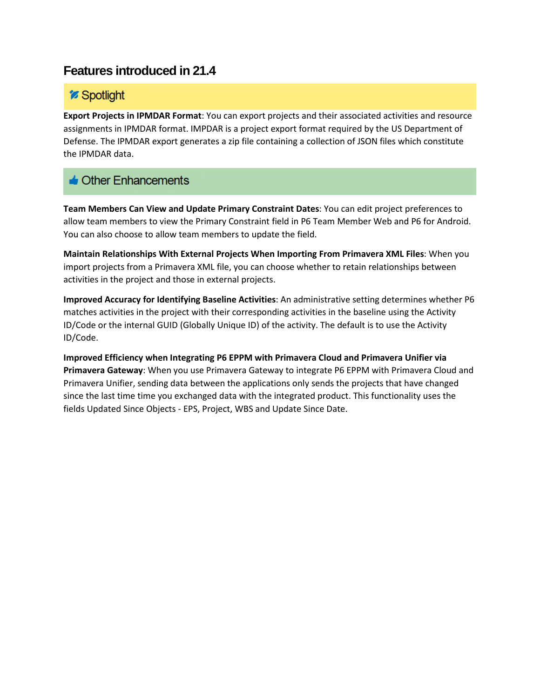### *Spotlight*

**Export Projects in IPMDAR Format**: You can export projects and their associated activities and resource assignments in IPMDAR format. IMPDAR is a project export format required by the US Department of Defense. The IPMDAR export generates a zip file containing a collection of JSON files which constitute the IPMDAR data.

### $\triangle$  Other Enhancements

**Team Members Can View and Update Primary Constraint Dates**: You can edit project preferences to allow team members to view the Primary Constraint field in P6 Team Member Web and P6 for Android. You can also choose to allow team members to update the field.

**Maintain Relationships With External Projects When Importing From Primavera XML Files**: When you import projects from a Primavera XML file, you can choose whether to retain relationships between activities in the project and those in external projects.

**Improved Accuracy for Identifying Baseline Activities**: An administrative setting determines whether P6 matches activities in the project with their corresponding activities in the baseline using the Activity ID/Code or the internal GUID (Globally Unique ID) of the activity. The default is to use the Activity ID/Code.

**Improved Efficiency when Integrating P6 EPPM with Primavera Cloud and Primavera Unifier via Primavera Gateway**: When you use Primavera Gateway to integrate P6 EPPM with Primavera Cloud and Primavera Unifier, sending data between the applications only sends the projects that have changed since the last time time you exchanged data with the integrated product. This functionality uses the fields Updated Since Objects - EPS, Project, WBS and Update Since Date.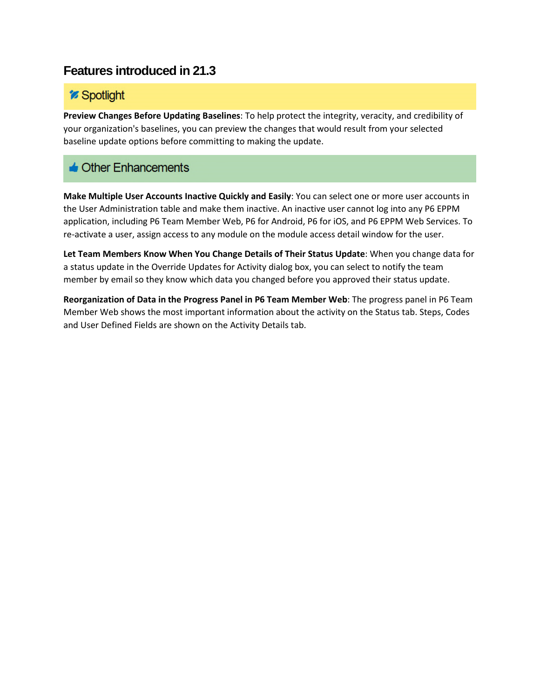## *i* Spotlight

**Preview Changes Before Updating Baselines**: To help protect the integrity, veracity, and credibility of your organization's baselines, you can preview the changes that would result from your selected baseline update options before committing to making the update.

## $\triangle$  Other Enhancements

**Make Multiple User Accounts Inactive Quickly and Easily**: You can select one or more user accounts in the User Administration table and make them inactive. An inactive user cannot log into any P6 EPPM application, including P6 Team Member Web, P6 for Android, P6 for iOS, and P6 EPPM Web Services. To re-activate a user, assign access to any module on the module access detail window for the user.

**Let Team Members Know When You Change Details of Their Status Update**: When you change data for a status update in the Override Updates for Activity dialog box, you can select to notify the team member by email so they know which data you changed before you approved their status update.

**Reorganization of Data in the Progress Panel in P6 Team Member Web**: The progress panel in P6 Team Member Web shows the most important information about the activity on the Status tab. Steps, Codes and User Defined Fields are shown on the Activity Details tab.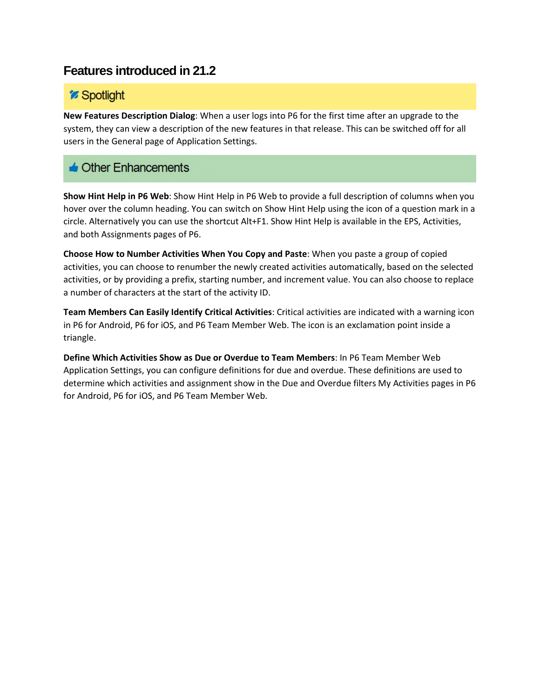### *i* Spotlight

**New Features Description Dialog**: When a user logs into P6 for the first time after an upgrade to the system, they can view a description of the new features in that release. This can be switched off for all users in the General page of Application Settings.

### $\triangle$  Other Enhancements

**Show Hint Help in P6 Web**: Show Hint Help in P6 Web to provide a full description of columns when you hover over the column heading. You can switch on Show Hint Help using the icon of a question mark in a circle. Alternatively you can use the shortcut Alt+F1. Show Hint Help is available in the EPS, Activities, and both Assignments pages of P6.

**Choose How to Number Activities When You Copy and Paste**: When you paste a group of copied activities, you can choose to renumber the newly created activities automatically, based on the selected activities, or by providing a prefix, starting number, and increment value. You can also choose to replace a number of characters at the start of the activity ID.

**Team Members Can Easily Identify Critical Activities**: Critical activities are indicated with a warning icon in P6 for Android, P6 for iOS, and P6 Team Member Web. The icon is an exclamation point inside a triangle.

**Define Which Activities Show as Due or Overdue to Team Members**: In P6 Team Member Web Application Settings, you can configure definitions for due and overdue. These definitions are used to determine which activities and assignment show in the Due and Overdue filters My Activities pages in P6 for Android, P6 for iOS, and P6 Team Member Web.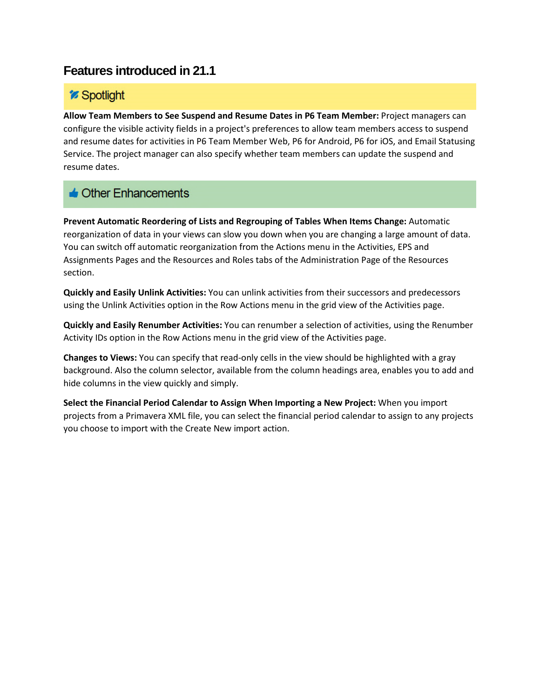## *i* Spotlight

**Allow Team Members to See Suspend and Resume Dates in P6 Team Member:** Project managers can configure the visible activity fields in a project's preferences to allow team members access to suspend and resume dates for activities in P6 Team Member Web, P6 for Android, P6 for iOS, and Email Statusing Service. The project manager can also specify whether team members can update the suspend and resume dates.

# $\triangle$  Other Enhancements

**Prevent Automatic Reordering of Lists and Regrouping of Tables When Items Change:** Automatic reorganization of data in your views can slow you down when you are changing a large amount of data. You can switch off automatic reorganization from the Actions menu in the Activities, EPS and Assignments Pages and the Resources and Roles tabs of the Administration Page of the Resources section.

**Quickly and Easily Unlink Activities:** You can unlink activities from their successors and predecessors using the Unlink Activities option in the Row Actions menu in the grid view of the Activities page.

**Quickly and Easily Renumber Activities:** You can renumber a selection of activities, using the Renumber Activity IDs option in the Row Actions menu in the grid view of the Activities page.

**Changes to Views:** You can specify that read-only cells in the view should be highlighted with a gray background. Also the column selector, available from the column headings area, enables you to add and hide columns in the view quickly and simply.

**Select the Financial Period Calendar to Assign When Importing a New Project:** When you import projects from a Primavera XML file, you can select the financial period calendar to assign to any projects you choose to import with the Create New import action.